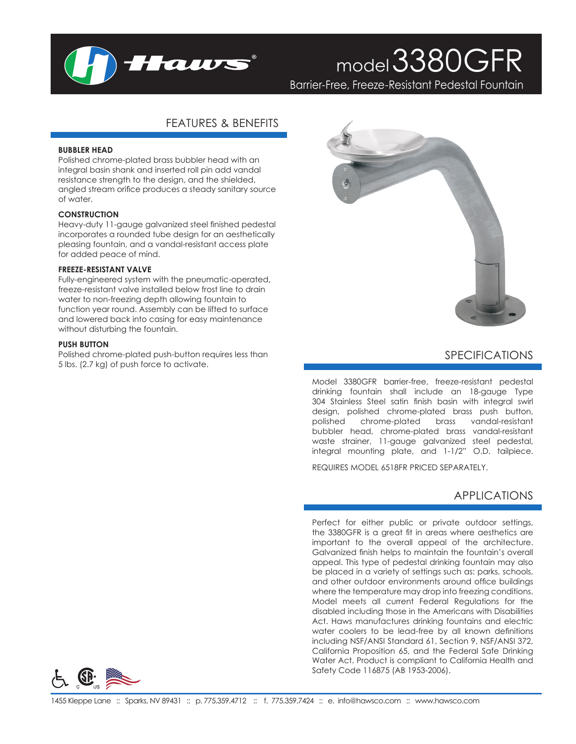

# model3380GFR

Barrier-Free, Freeze-Resistant Pedestal Fountain

## FEATURES & BENEFITS

#### **BUBBLER HEAD**

Polished chrome-plated brass bubbler head with an integral basin shank and inserted roll pin add vandal resistance strength to the design, and the shielded, angled stream orifice produces a steady sanitary source of water.

#### **CONSTRUCTION**

Heavy-duty 11-gauge galvanized steel finished pedestal incorporates a rounded tube design for an aesthetically pleasing fountain, and a vandal-resistant access plate for added peace of mind.

#### **FREEZE-RESISTANT VALVE**

Fully-engineered system with the pneumatic-operated, freeze-resistant valve installed below frost line to drain water to non-freezing depth allowing fountain to function year round. Assembly can be lifted to surface and lowered back into casing for easy maintenance without disturbing the fountain.

#### **PUSH BUTTON**

Polished chrome-plated push-button requires less than 5 lbs. (2.7 kg) of push force to activate.



## SPECIFICATIONS

Model 3380GFR barrier-free, freeze-resistant pedestal drinking fountain shall include an 18-gauge Type 304 Stainless Steel satin finish basin with integral swirl design, polished chrome-plated brass push button, polished chrome-plated brass vandal-resistant bubbler head, chrome-plated brass vandal-resistant waste strainer, 11-gauge galvanized steel pedestal, integral mounting plate, and 1-1/2" O.D. tailpiece.

REQUIRES MODEL 6518FR PRICED SEPARATELY.

## APPLICATIONS

Perfect for either public or private outdoor settings, the 3380GFR is a great fit in areas where aesthetics are important to the overall appeal of the architecture. Galvanized finish helps to maintain the fountain's overall appeal. This type of pedestal drinking fountain may also be placed in a variety of settings such as: parks, schools, and other outdoor environments around office buildings where the temperature may drop into freezing conditions. Model meets all current Federal Regulations for the disabled including those in the Americans with Disabilities Act. Haws manufactures drinking fountains and electric water coolers to be lead-free by all known definitions including NSF/ANSI Standard 61, Section 9, NSF/ANSI 372, California Proposition 65, and the Federal Safe Drinking Water Act. Product is compliant to California Health and Safety Code 116875 (AB 1953-2006).